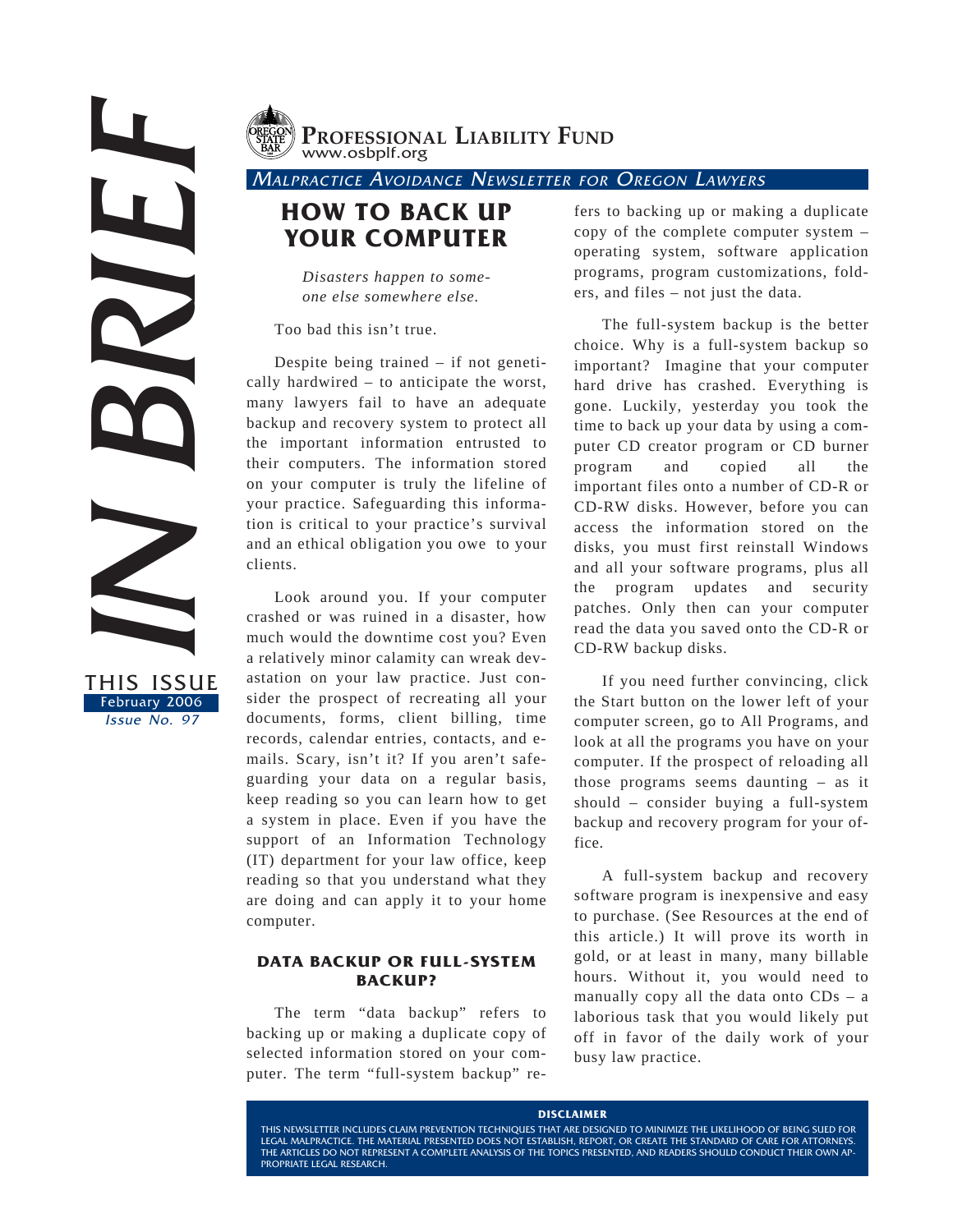THE MONEY CONTINUES



**PROFESSIONAL LIABILITY FUND** www.osbplf.org

MALPRACTICE AVOIDANCE NEWSLETTER FOR OREGON LAWYERS

# **HOW TO BACK UP YOUR COMPUTER**

*Disasters happen to someone else somewhere else.*

Too bad this isn't true.

Despite being trained – if not genetically hardwired – to anticipate the worst, many lawyers fail to have an adequate backup and recovery system to protect all the important information entrusted to their computers. The information stored on your computer is truly the lifeline of your practice. Safeguarding this information is critical to your practice's survival and an ethical obligation you owe to your clients.

Look around you. If your computer crashed or was ruined in a disaster, how much would the downtime cost you? Even a relatively minor calamity can wreak devastation on your law practice. Just consider the prospect of recreating all your documents, forms, client billing, time records, calendar entries, contacts, and emails. Scary, isn't it? If you aren't safeguarding your data on a regular basis, keep reading so you can learn how to get a system in place. Even if you have the support of an Information Technology (IT) department for your law office, keep reading so that you understand what they are doing and can apply it to your home computer.

## **DATA BACKUP OR FULL-SYSTEM BACKUP?**

The term "data backup" refers to backing up or making a duplicate copy of selected information stored on your computer. The term "full-system backup" re-

fers to backing up or making a duplicate copy of the complete computer system – operating system, software application programs, program customizations, folders, and files – not just the data.

The full-system backup is the better choice. Why is a full-system backup so important? Imagine that your computer hard drive has crashed. Everything is gone. Luckily, yesterday you took the time to back up your data by using a computer CD creator program or CD burner program and copied all the important files onto a number of CD-R or CD-RW disks. However, before you can access the information stored on the disks, you must first reinstall Windows and all your software programs, plus all the program updates and security patches. Only then can your computer read the data you saved onto the CD-R or CD-RW backup disks.

If you need further convincing, click the Start button on the lower left of your computer screen, go to All Programs, and look at all the programs you have on your computer. If the prospect of reloading all those programs seems daunting – as it should – consider buying a full-system backup and recovery program for your office.

A full-system backup and recovery software program is inexpensive and easy to purchase. (See Resources at the end of this article.) It will prove its worth in gold, or at least in many, many billable hours. Without it, you would need to manually copy all the data onto  $CDs - a$ laborious task that you would likely put off in favor of the daily work of your busy law practice.

#### **DISCLAIMER**

THIS NEWSLETTER INCLUDES CLAIM PREVENTION TECHNIQUES THAT ARE DESIGNED TO MINIMIZE THE LIKELIHOOD OF BEING SUED FOR LEGAL MALPRACTICE. THE MATERIAL PRESENTED DOES NOT ESTABLISH, REPORT, OR CREATE THE STANDARD OF CARE FOR ATTORNEYS. THE ARTICLES DO NOT REPRESENT A COMPLETE ANALYSIS OF THE TOPICS PRESENTED, AND READERS SHOULD CONDUCT THEIR OWN AP-PROPRIATE LEGAL RESEARCH.